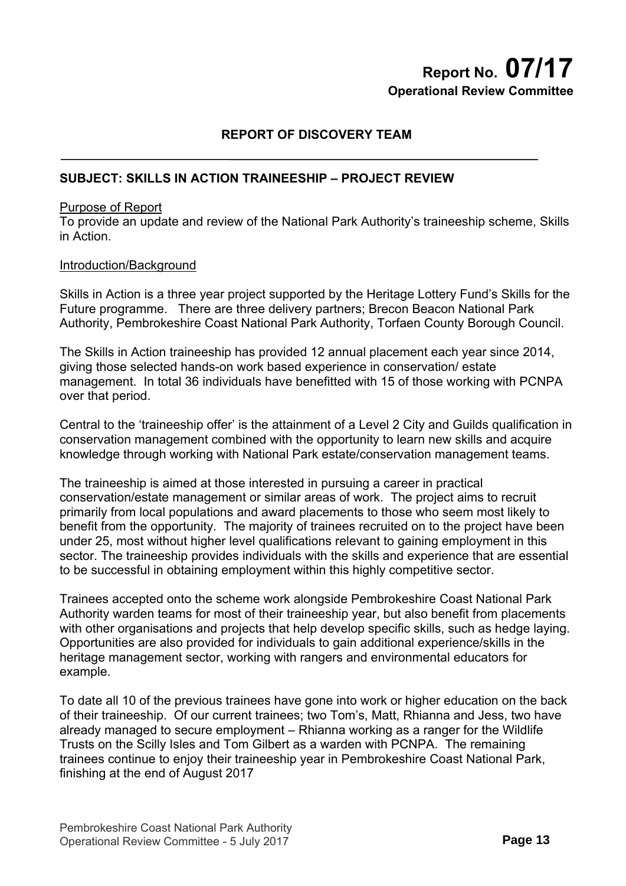# **Report No. 07/17 Operational Review Committee**

# **REPORT OF DISCOVERY TEAM**

## **SUBJECT: SKILLS IN ACTION TRAINEESHIP – PROJECT REVIEW**

#### Purpose of Report

To provide an update and review of the National Park Authority's traineeship scheme, Skills in Action.

#### Introduction/Background

Skills in Action is a three year project supported by the Heritage Lottery Fund's Skills for the Future programme. There are three delivery partners; Brecon Beacon National Park Authority, Pembrokeshire Coast National Park Authority, Torfaen County Borough Council.

The Skills in Action traineeship has provided 12 annual placement each year since 2014, giving those selected hands-on work based experience in conservation/ estate management. In total 36 individuals have benefitted with 15 of those working with PCNPA over that period.

Central to the 'traineeship offer' is the attainment of a Level 2 City and Guilds qualification in conservation management combined with the opportunity to learn new skills and acquire knowledge through working with National Park estate/conservation management teams.

The traineeship is aimed at those interested in pursuing a career in practical conservation/estate management or similar areas of work. The project aims to recruit primarily from local populations and award placements to those who seem most likely to benefit from the opportunity. The majority of trainees recruited on to the project have been under 25, most without higher level qualifications relevant to gaining employment in this sector. The traineeship provides individuals with the skills and experience that are essential to be successful in obtaining employment within this highly competitive sector.

Trainees accepted onto the scheme work alongside Pembrokeshire Coast National Park Authority warden teams for most of their traineeship year, but also benefit from placements with other organisations and projects that help develop specific skills, such as hedge laying. Opportunities are also provided for individuals to gain additional experience/skills in the heritage management sector, working with rangers and environmental educators for example.

To date all 10 of the previous trainees have gone into work or higher education on the back of their traineeship. Of our current trainees; two Tom's, Matt, Rhianna and Jess, two have already managed to secure employment – Rhianna working as a ranger for the Wildlife Trusts on the Scilly Isles and Tom Gilbert as a warden with PCNPA. The remaining trainees continue to enjoy their traineeship year in Pembrokeshire Coast National Park, finishing at the end of August 2017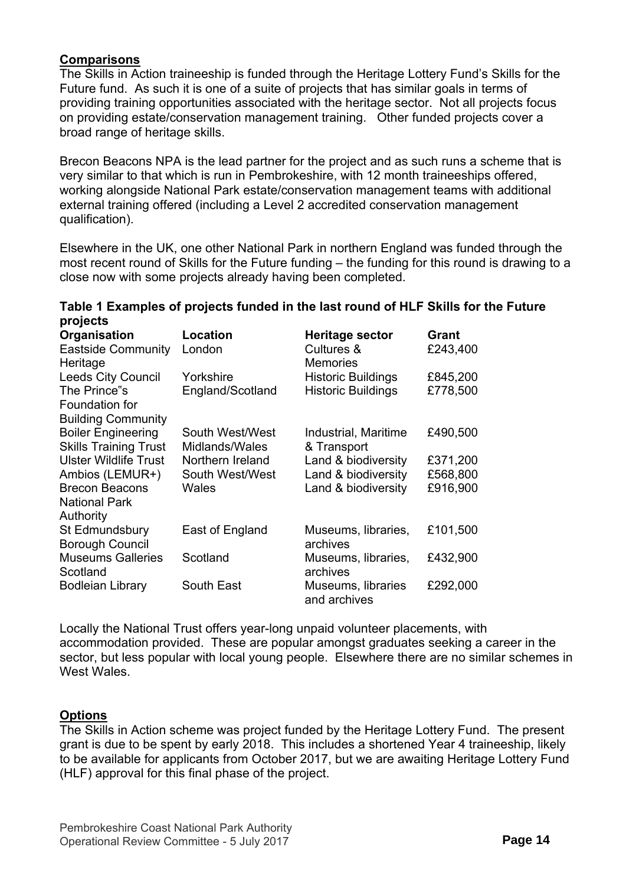# **Comparisons**

The Skills in Action traineeship is funded through the Heritage Lottery Fund's Skills for the Future fund. As such it is one of a suite of projects that has similar goals in terms of providing training opportunities associated with the heritage sector. Not all projects focus on providing estate/conservation management training. Other funded projects cover a broad range of heritage skills.

Brecon Beacons NPA is the lead partner for the project and as such runs a scheme that is very similar to that which is run in Pembrokeshire, with 12 month traineeships offered, working alongside National Park estate/conservation management teams with additional external training offered (including a Level 2 accredited conservation management qualification).

Elsewhere in the UK, one other National Park in northern England was funded through the most recent round of Skills for the Future funding – the funding for this round is drawing to a close now with some projects already having been completed.

# **Table 1 Examples of projects funded in the last round of HLF Skills for the Future projects**

| Organisation                          | <b>Location</b>  | Heritage sector                    | Grant    |
|---------------------------------------|------------------|------------------------------------|----------|
| <b>Eastside Community</b><br>Heritage | London           | Cultures &<br>Memories             | £243,400 |
| <b>Leeds City Council</b>             | Yorkshire        | <b>Historic Buildings</b>          | £845,200 |
| The Prince"s                          | England/Scotland | <b>Historic Buildings</b>          | £778,500 |
| Foundation for                        |                  |                                    |          |
| <b>Building Community</b>             |                  |                                    |          |
| <b>Boiler Engineering</b>             | South West/West  | Industrial, Maritime               | £490,500 |
| <b>Skills Training Trust</b>          | Midlands/Wales   | & Transport                        |          |
| <b>Ulster Wildlife Trust</b>          | Northern Ireland | Land & biodiversity                | £371,200 |
| Ambios (LEMUR+)                       | South West/West  | Land & biodiversity                | £568,800 |
| <b>Brecon Beacons</b>                 | Wales            | Land & biodiversity                | £916,900 |
| <b>National Park</b>                  |                  |                                    |          |
| Authority                             |                  |                                    |          |
| St Edmundsbury                        | East of England  | Museums, libraries,                | £101,500 |
| <b>Borough Council</b>                |                  | archives                           |          |
| <b>Museums Galleries</b>              | Scotland         | Museums, libraries,                | £432,900 |
| Scotland                              |                  | archives                           |          |
| <b>Bodleian Library</b>               | South East       | Museums, libraries<br>and archives | £292,000 |

Locally the National Trust offers year-long unpaid volunteer placements, with accommodation provided. These are popular amongst graduates seeking a career in the sector, but less popular with local young people. Elsewhere there are no similar schemes in West Wales

# **Options**

The Skills in Action scheme was project funded by the Heritage Lottery Fund. The present grant is due to be spent by early 2018. This includes a shortened Year 4 traineeship, likely to be available for applicants from October 2017, but we are awaiting Heritage Lottery Fund (HLF) approval for this final phase of the project.